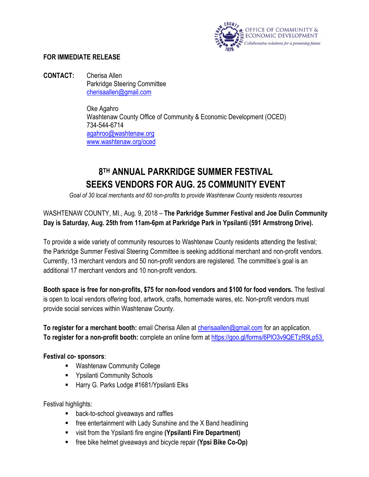

## **FOR IMMEDIATE RELEASE**

**CONTACT:** Cherisa Allen Parkridge Steering Committee [cherisaallen@gmail.com](mailto:cherisaallen@gmail.com)

> Oke Agahro Washtenaw County Office of Community & Economic Development (OCED) 734-544-6714 [agahroo@washtenaw.org](mailto:agahroo@washtenaw.org) [www.washtenaw.org/oced](http://www.washtenaw.org/oced)

## **8TH ANNUAL PARKRIDGE SUMMER FESTIVAL SEEKS VENDORS FOR AUG. 25 COMMUNITY EVENT**

*Goal of 30 local merchants and 60 non-profits to provide Washtenaw County residents resources*

## WASHTENAW COUNTY, MI., Aug. 9, 2018 – **The Parkridge Summer Festival and Joe Dulin Community Day is Saturday, Aug. 25th from 11am-6pm at Parkridge Park in Ypsilanti (591 Armstrong Drive).**

To provide a wide variety of community resources to Washtenaw County residents attending the festival; the Parkridge Summer Festival Steering Committee is seeking additional merchant and non-profit vendors. Currently, 13 merchant vendors and 50 non-profit vendors are registered. The committee's goal is an additional 17 merchant vendors and 10 non-profit vendors.

**Booth space is free for non-profits, \$75 for non-food vendors and \$100 for food vendors.** The festival is open to local vendors offering food, artwork, crafts, homemade wares, etc. Non-profit vendors must provide social services within Washtenaw County.

**To register for a merchant booth:** email Cherisa Allen at [cherisaallen@gmail.com](mailto:cherisaallen@gmail.com) for an application. **To register for a non-profit booth:** complete an online form at [https://goo.gl/forms/6PlO3v9QETzR9Lp53.](https://goo.gl/forms/6PlO3v9QETzR9Lp53)

## **Festival co- sponsors**:

- Washtenaw Community College
- **EXECUTE:** Ypsilanti Community Schools
- Harry G. Parks Lodge #1681/Ypsilanti Elks

Festival highlights:

- **back-to-school giveaways and raffles**
- **F** free entertainment with Lady Sunshine and the X Band headlining
- visit from the Ypsilanti fire engine **(Ypsilanti Fire Department)**
- free bike helmet giveaways and bicycle repair **(Ypsi Bike Co-Op)**